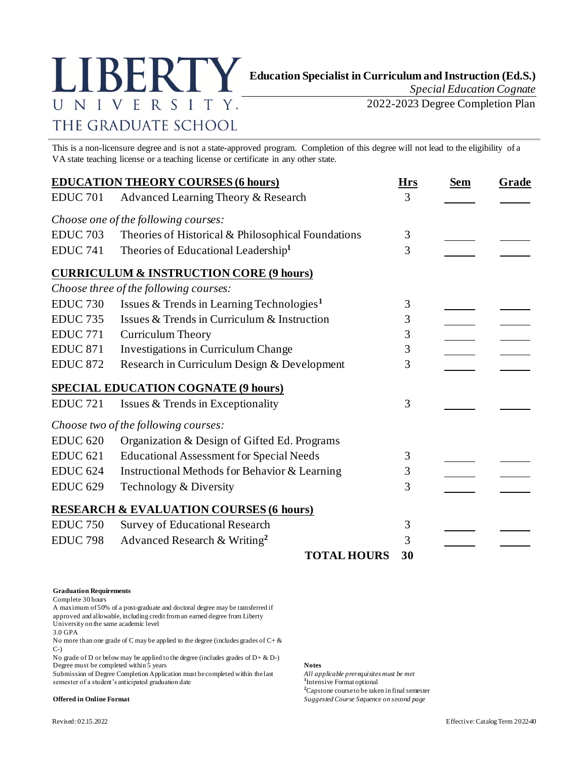

*Special Education Cognate*

2022-2023 Degree Completion Plan

This is a non-licensure degree and is not a state-approved program. Completion of this degree will not lead to the eligibility of a VA state teaching license or a teaching license or certificate in any other state.

| <b>EDUCATION THEORY COURSES (6 hours)</b> |                                                       | <b>Hrs</b> | <b>Sem</b> | Grade |
|-------------------------------------------|-------------------------------------------------------|------------|------------|-------|
| <b>EDUC 701</b>                           | Advanced Learning Theory & Research                   | 3          |            |       |
|                                           | Choose one of the following courses:                  |            |            |       |
| <b>EDUC 703</b>                           | Theories of Historical & Philosophical Foundations    | 3          |            |       |
| <b>EDUC 741</b>                           | Theories of Educational Leadership <sup>1</sup>       | 3          |            |       |
|                                           | <b>CURRICULUM &amp; INSTRUCTION CORE (9 hours)</b>    |            |            |       |
|                                           | Choose three of the following courses:                |            |            |       |
| <b>EDUC 730</b>                           | Issues & Trends in Learning Technologies <sup>1</sup> | 3          |            |       |
| <b>EDUC 735</b>                           | Issues & Trends in Curriculum & Instruction           | 3          |            |       |
| <b>EDUC 771</b>                           | <b>Curriculum Theory</b>                              | 3          |            |       |
| <b>EDUC 871</b>                           | Investigations in Curriculum Change                   | 3          |            |       |
| <b>EDUC 872</b>                           | Research in Curriculum Design & Development           | 3          |            |       |
|                                           | <b>SPECIAL EDUCATION COGNATE (9 hours)</b>            |            |            |       |
| <b>EDUC 721</b>                           | Issues & Trends in Exceptionality                     | 3          |            |       |
|                                           | Choose two of the following courses:                  |            |            |       |
| <b>EDUC 620</b>                           | Organization & Design of Gifted Ed. Programs          |            |            |       |
| <b>EDUC 621</b>                           | <b>Educational Assessment for Special Needs</b>       | 3          |            |       |
| <b>EDUC 624</b>                           | Instructional Methods for Behavior & Learning         | 3          |            |       |
| <b>EDUC 629</b>                           | Technology & Diversity                                | 3          |            |       |
|                                           | <b>RESEARCH &amp; EVALUATION COURSES (6 hours)</b>    |            |            |       |
| <b>EDUC 750</b>                           | Survey of Educational Research                        | 3          |            |       |
| <b>EDUC 798</b>                           | Advanced Research & Writing <sup>2</sup>              | 3          |            |       |
|                                           | <b>TOTAL HOURS</b>                                    | 30         |            |       |

## **Graduation Requirements**

Complete 30 hours

A maximum of 50% of a post-graduate and doctoral degree may be transferred if approved and allowable, including credit from an earned degree from Liberty University on the same academic level

3.0 GPA

No more than one grade of C may be applied to the degree (includes grades of  $C + \&$ C-)

No grade of D or below may be applied to the degree (includes grades of  $D + \& D$ -) Degree must be completed within 5 years<br>
Submission of Degree Completion Application must be completed within the last *All applicable prerequisites must be met* 

Submission of Degree Completion Application must be completed within the last semester of a student's anticipated graduation date **<sup>1</sup>**

<sup>1</sup>Intensive Format optional **<sup>2</sup>**Capstone course to be taken in final semester **Offered in Online Format** *Suggested Course Sequence on second page*